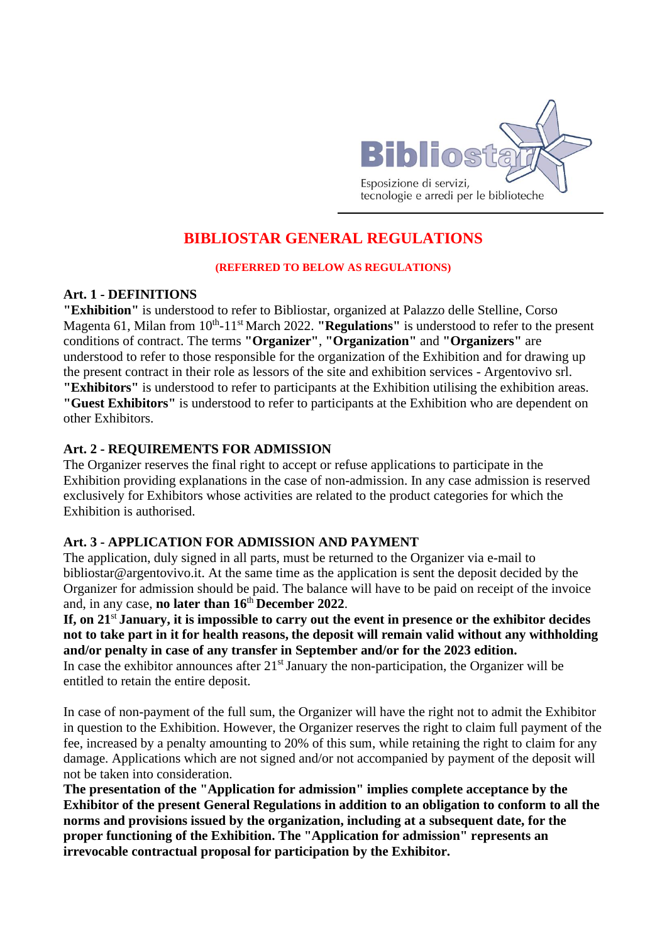

# **BIBLIOSTAR GENERAL REGULATIONS**

#### **(REFERRED TO BELOW AS REGULATIONS)**

#### **Art. 1 - DEFINITIONS**

**"Exhibition"** is understood to refer to Bibliostar, organized at Palazzo delle Stelline, Corso Magenta 61, Milan from 10<sup>th</sup>-11<sup>st</sup> March 2022. "Regulations" is understood to refer to the present conditions of contract. The terms **"Organizer"**, **"Organization"** and **"Organizers"** are understood to refer to those responsible for the organization of the Exhibition and for drawing up the present contract in their role as lessors of the site and exhibition services - Argentovivo srl. **"Exhibitors"** is understood to refer to participants at the Exhibition utilising the exhibition areas. **"Guest Exhibitors"** is understood to refer to participants at the Exhibition who are dependent on other Exhibitors.

#### **Art. 2 - REQUIREMENTS FOR ADMISSION**

The Organizer reserves the final right to accept or refuse applications to participate in the Exhibition providing explanations in the case of non-admission. In any case admission is reserved exclusively for Exhibitors whose activities are related to the product categories for which the Exhibition is authorised.

#### **Art. 3 - APPLICATION FOR ADMISSION AND PAYMENT**

The application, duly signed in all parts, must be returned to the Organizer via e-mail to bibliostar@argentovivo.it. At the same time as the application is sent the deposit decided by the Organizer for admission should be paid. The balance will have to be paid on receipt of the invoice and, in any case, **no later than 16**th **December 2022**.

If, on 21<sup>st</sup> January, it is impossible to carry out the event in presence or the exhibitor decides **not to take part in it for health reasons, the deposit will remain valid without any withholding and/or penalty in case of any transfer in September and/or for the 2023 edition.** In case the exhibitor announces after 21<sup>st</sup> January the non-participation, the Organizer will be

entitled to retain the entire deposit.

In case of non-payment of the full sum, the Organizer will have the right not to admit the Exhibitor in question to the Exhibition. However, the Organizer reserves the right to claim full payment of the fee, increased by a penalty amounting to 20% of this sum, while retaining the right to claim for any damage. Applications which are not signed and/or not accompanied by payment of the deposit will not be taken into consideration.

**The presentation of the "Application for admission" implies complete acceptance by the Exhibitor of the present General Regulations in addition to an obligation to conform to all the norms and provisions issued by the organization, including at a subsequent date, for the proper functioning of the Exhibition. The "Application for admission" represents an irrevocable contractual proposal for participation by the Exhibitor.**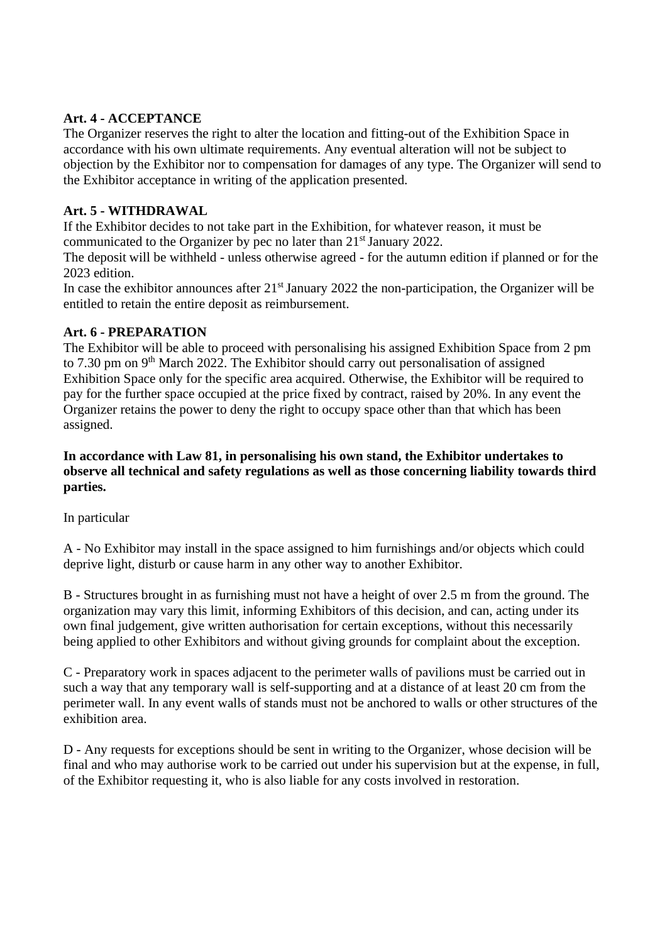# **Art. 4 - ACCEPTANCE**

The Organizer reserves the right to alter the location and fitting-out of the Exhibition Space in accordance with his own ultimate requirements. Any eventual alteration will not be subject to objection by the Exhibitor nor to compensation for damages of any type. The Organizer will send to the Exhibitor acceptance in writing of the application presented.

# **Art. 5 - WITHDRAWAL**

If the Exhibitor decides to not take part in the Exhibition, for whatever reason, it must be communicated to the Organizer by pec no later than 21<sup>st</sup> January 2022.

The deposit will be withheld - unless otherwise agreed - for the autumn edition if planned or for the 2023 edition.

In case the exhibitor announces after 21<sup>st</sup> January 2022 the non-participation, the Organizer will be entitled to retain the entire deposit as reimbursement.

# **Art. 6 - PREPARATION**

The Exhibitor will be able to proceed with personalising his assigned Exhibition Space from 2 pm to 7.30 pm on 9<sup>th</sup> March 2022. The Exhibitor should carry out personalisation of assigned Exhibition Space only for the specific area acquired. Otherwise, the Exhibitor will be required to pay for the further space occupied at the price fixed by contract, raised by 20%. In any event the Organizer retains the power to deny the right to occupy space other than that which has been assigned.

#### **In accordance with Law 81, in personalising his own stand, the Exhibitor undertakes to observe all technical and safety regulations as well as those concerning liability towards third parties.**

In particular

A - No Exhibitor may install in the space assigned to him furnishings and/or objects which could deprive light, disturb or cause harm in any other way to another Exhibitor.

B - Structures brought in as furnishing must not have a height of over 2.5 m from the ground. The organization may vary this limit, informing Exhibitors of this decision, and can, acting under its own final judgement, give written authorisation for certain exceptions, without this necessarily being applied to other Exhibitors and without giving grounds for complaint about the exception.

C - Preparatory work in spaces adjacent to the perimeter walls of pavilions must be carried out in such a way that any temporary wall is self-supporting and at a distance of at least 20 cm from the perimeter wall. In any event walls of stands must not be anchored to walls or other structures of the exhibition area.

D - Any requests for exceptions should be sent in writing to the Organizer, whose decision will be final and who may authorise work to be carried out under his supervision but at the expense, in full, of the Exhibitor requesting it, who is also liable for any costs involved in restoration.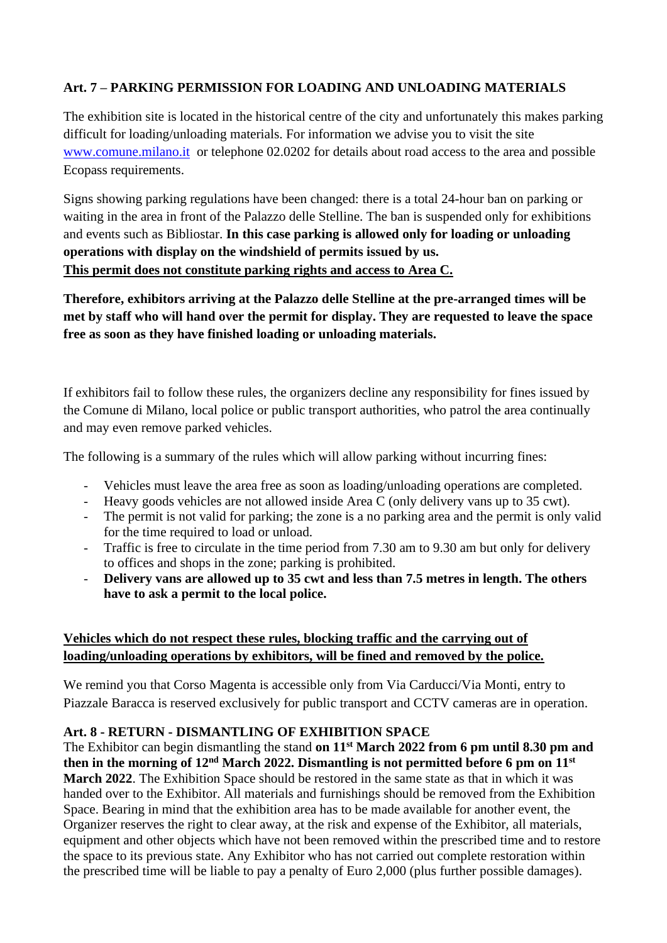# **Art. 7 – PARKING PERMISSION FOR LOADING AND UNLOADING MATERIALS**

The exhibition site is located in the historical centre of the city and unfortunately this makes parking difficult for loading/unloading materials. For information we advise you to visit the site [www.comune.milano.it](http://www.comune.milano.it/) or telephone 02.0202 for details about road access to the area and possible Ecopass requirements.

Signs showing parking regulations have been changed: there is a total 24-hour ban on parking or waiting in the area in front of the Palazzo delle Stelline. The ban is suspended only for exhibitions and events such as Bibliostar. **In this case parking is allowed only for loading or unloading operations with display on the windshield of permits issued by us. This permit does not constitute parking rights and access to Area C.**

**Therefore, exhibitors arriving at the Palazzo delle Stelline at the pre-arranged times will be met by staff who will hand over the permit for display. They are requested to leave the space free as soon as they have finished loading or unloading materials.**

If exhibitors fail to follow these rules, the organizers decline any responsibility for fines issued by the Comune di Milano, local police or public transport authorities, who patrol the area continually and may even remove parked vehicles.

The following is a summary of the rules which will allow parking without incurring fines:

- Vehicles must leave the area free as soon as loading/unloading operations are completed.
- Heavy goods vehicles are not allowed inside Area C (only delivery vans up to 35 cwt).
- The permit is not valid for parking; the zone is a no parking area and the permit is only valid for the time required to load or unload.
- Traffic is free to circulate in the time period from 7.30 am to 9.30 am but only for delivery to offices and shops in the zone; parking is prohibited.
- **Delivery vans are allowed up to 35 cwt and less than 7.5 metres in length. The others have to ask a permit to the local police.**

# **Vehicles which do not respect these rules, blocking traffic and the carrying out of loading/unloading operations by exhibitors, will be fined and removed by the police.**

We remind you that Corso Magenta is accessible only from Via Carducci/Via Monti, entry to Piazzale Baracca is reserved exclusively for public transport and CCTV cameras are in operation.

# **Art. 8 - RETURN - DISMANTLING OF EXHIBITION SPACE**

The Exhibitor can begin dismantling the stand **on 11st March 2022 from 6 pm until 8.30 pm and**  then in the morning of 12<sup>nd</sup> March 2022. Dismantling is not permitted before 6 pm on 11<sup>st</sup> **March 2022**. The Exhibition Space should be restored in the same state as that in which it was handed over to the Exhibitor. All materials and furnishings should be removed from the Exhibition Space. Bearing in mind that the exhibition area has to be made available for another event, the Organizer reserves the right to clear away, at the risk and expense of the Exhibitor, all materials, equipment and other objects which have not been removed within the prescribed time and to restore the space to its previous state. Any Exhibitor who has not carried out complete restoration within the prescribed time will be liable to pay a penalty of Euro 2,000 (plus further possible damages).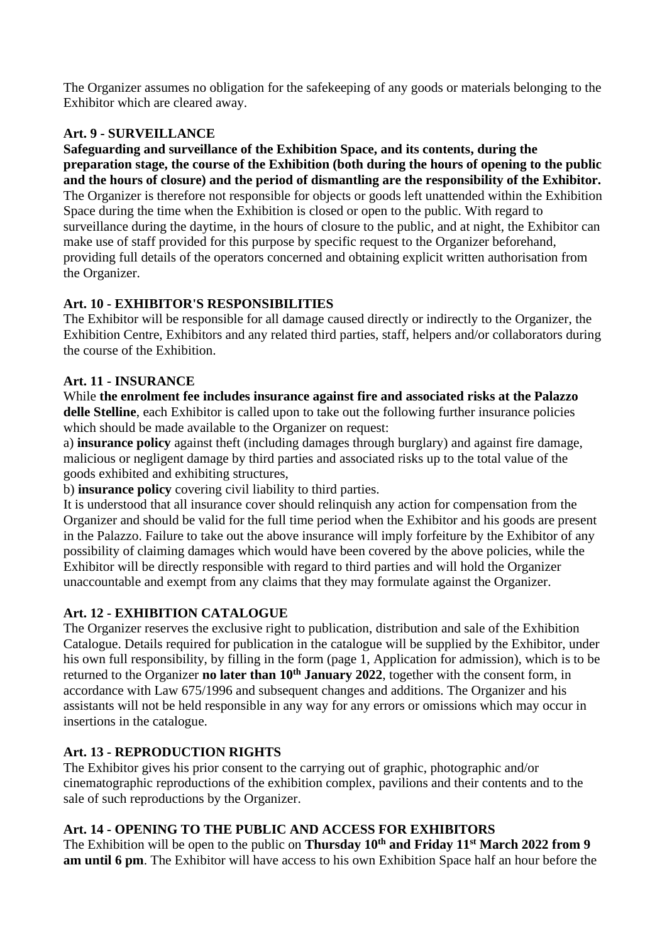The Organizer assumes no obligation for the safekeeping of any goods or materials belonging to the Exhibitor which are cleared away.

# **Art. 9 - SURVEILLANCE**

**Safeguarding and surveillance of the Exhibition Space, and its contents, during the preparation stage, the course of the Exhibition (both during the hours of opening to the public and the hours of closure) and the period of dismantling are the responsibility of the Exhibitor.** The Organizer is therefore not responsible for objects or goods left unattended within the Exhibition Space during the time when the Exhibition is closed or open to the public. With regard to surveillance during the daytime, in the hours of closure to the public, and at night, the Exhibitor can make use of staff provided for this purpose by specific request to the Organizer beforehand, providing full details of the operators concerned and obtaining explicit written authorisation from the Organizer.

# **Art. 10 - EXHIBITOR'S RESPONSIBILITIES**

The Exhibitor will be responsible for all damage caused directly or indirectly to the Organizer, the Exhibition Centre, Exhibitors and any related third parties, staff, helpers and/or collaborators during the course of the Exhibition.

# **Art. 11 - INSURANCE**

While **the enrolment fee includes insurance against fire and associated risks at the Palazzo delle Stelline**, each Exhibitor is called upon to take out the following further insurance policies which should be made available to the Organizer on request:

a) **insurance policy** against theft (including damages through burglary) and against fire damage, malicious or negligent damage by third parties and associated risks up to the total value of the goods exhibited and exhibiting structures,

b) **insurance policy** covering civil liability to third parties.

It is understood that all insurance cover should relinquish any action for compensation from the Organizer and should be valid for the full time period when the Exhibitor and his goods are present in the Palazzo. Failure to take out the above insurance will imply forfeiture by the Exhibitor of any possibility of claiming damages which would have been covered by the above policies, while the Exhibitor will be directly responsible with regard to third parties and will hold the Organizer unaccountable and exempt from any claims that they may formulate against the Organizer.

# **Art. 12 - EXHIBITION CATALOGUE**

The Organizer reserves the exclusive right to publication, distribution and sale of the Exhibition Catalogue. Details required for publication in the catalogue will be supplied by the Exhibitor, under his own full responsibility, by filling in the form (page 1, Application for admission), which is to be returned to the Organizer **no later than 10<sup>th</sup> January 2022**, together with the consent form, in accordance with Law 675/1996 and subsequent changes and additions. The Organizer and his assistants will not be held responsible in any way for any errors or omissions which may occur in insertions in the catalogue.

# **Art. 13 - REPRODUCTION RIGHTS**

The Exhibitor gives his prior consent to the carrying out of graphic, photographic and/or cinematographic reproductions of the exhibition complex, pavilions and their contents and to the sale of such reproductions by the Organizer.

# **Art. 14 - OPENING TO THE PUBLIC AND ACCESS FOR EXHIBITORS**

The Exhibition will be open to the public on **Thursday 10th and Friday 11st March 2022 from 9 am until 6 pm**. The Exhibitor will have access to his own Exhibition Space half an hour before the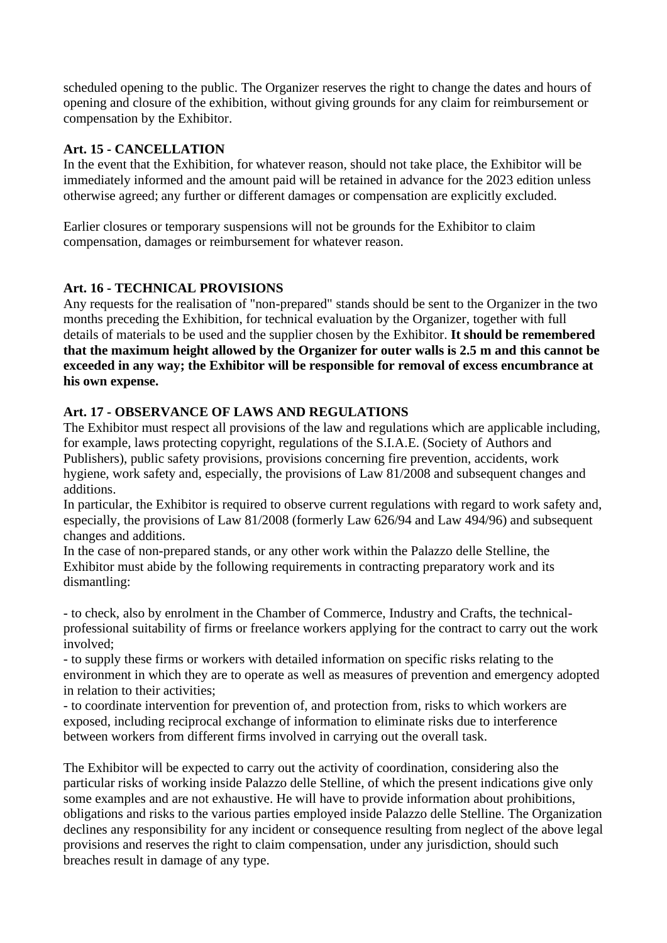scheduled opening to the public. The Organizer reserves the right to change the dates and hours of opening and closure of the exhibition, without giving grounds for any claim for reimbursement or compensation by the Exhibitor.

### **Art. 15 - CANCELLATION**

In the event that the Exhibition, for whatever reason, should not take place, the Exhibitor will be immediately informed and the amount paid will be retained in advance for the 2023 edition unless otherwise agreed; any further or different damages or compensation are explicitly excluded.

Earlier closures or temporary suspensions will not be grounds for the Exhibitor to claim compensation, damages or reimbursement for whatever reason.

# **Art. 16 - TECHNICAL PROVISIONS**

Any requests for the realisation of "non-prepared" stands should be sent to the Organizer in the two months preceding the Exhibition, for technical evaluation by the Organizer, together with full details of materials to be used and the supplier chosen by the Exhibitor. **It should be remembered that the maximum height allowed by the Organizer for outer walls is 2.5 m and this cannot be exceeded in any way; the Exhibitor will be responsible for removal of excess encumbrance at his own expense.**

# **Art. 17 - OBSERVANCE OF LAWS AND REGULATIONS**

The Exhibitor must respect all provisions of the law and regulations which are applicable including, for example, laws protecting copyright, regulations of the S.I.A.E. (Society of Authors and Publishers), public safety provisions, provisions concerning fire prevention, accidents, work hygiene, work safety and, especially, the provisions of Law 81/2008 and subsequent changes and additions.

In particular, the Exhibitor is required to observe current regulations with regard to work safety and, especially, the provisions of Law 81/2008 (formerly Law 626/94 and Law 494/96) and subsequent changes and additions.

In the case of non-prepared stands, or any other work within the Palazzo delle Stelline, the Exhibitor must abide by the following requirements in contracting preparatory work and its dismantling:

- to check, also by enrolment in the Chamber of Commerce, Industry and Crafts, the technicalprofessional suitability of firms or freelance workers applying for the contract to carry out the work involved;

- to supply these firms or workers with detailed information on specific risks relating to the environment in which they are to operate as well as measures of prevention and emergency adopted in relation to their activities;

- to coordinate intervention for prevention of, and protection from, risks to which workers are exposed, including reciprocal exchange of information to eliminate risks due to interference between workers from different firms involved in carrying out the overall task.

The Exhibitor will be expected to carry out the activity of coordination, considering also the particular risks of working inside Palazzo delle Stelline, of which the present indications give only some examples and are not exhaustive. He will have to provide information about prohibitions, obligations and risks to the various parties employed inside Palazzo delle Stelline. The Organization declines any responsibility for any incident or consequence resulting from neglect of the above legal provisions and reserves the right to claim compensation, under any jurisdiction, should such breaches result in damage of any type.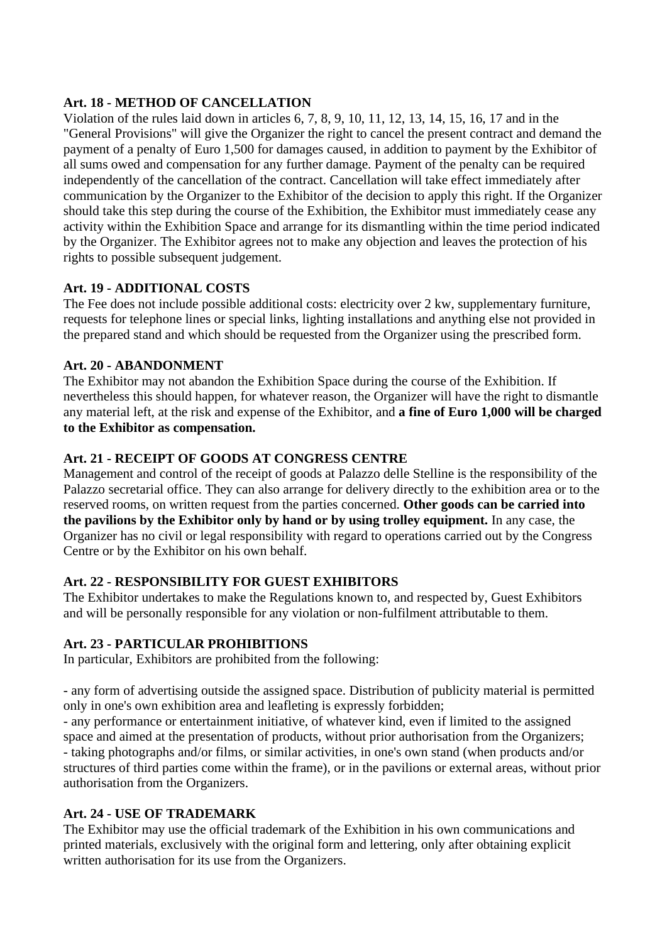#### **Art. 18 - METHOD OF CANCELLATION**

Violation of the rules laid down in articles 6, 7, 8, 9, 10, 11, 12, 13, 14, 15, 16, 17 and in the "General Provisions" will give the Organizer the right to cancel the present contract and demand the payment of a penalty of Euro 1,500 for damages caused, in addition to payment by the Exhibitor of all sums owed and compensation for any further damage. Payment of the penalty can be required independently of the cancellation of the contract. Cancellation will take effect immediately after communication by the Organizer to the Exhibitor of the decision to apply this right. If the Organizer should take this step during the course of the Exhibition, the Exhibitor must immediately cease any activity within the Exhibition Space and arrange for its dismantling within the time period indicated by the Organizer. The Exhibitor agrees not to make any objection and leaves the protection of his rights to possible subsequent judgement.

### **Art. 19 - ADDITIONAL COSTS**

The Fee does not include possible additional costs: electricity over 2 kw, supplementary furniture, requests for telephone lines or special links, lighting installations and anything else not provided in the prepared stand and which should be requested from the Organizer using the prescribed form.

#### **Art. 20 - ABANDONMENT**

The Exhibitor may not abandon the Exhibition Space during the course of the Exhibition. If nevertheless this should happen, for whatever reason, the Organizer will have the right to dismantle any material left, at the risk and expense of the Exhibitor, and **a fine of Euro 1,000 will be charged to the Exhibitor as compensation.**

### **Art. 21 - RECEIPT OF GOODS AT CONGRESS CENTRE**

Management and control of the receipt of goods at Palazzo delle Stelline is the responsibility of the Palazzo secretarial office. They can also arrange for delivery directly to the exhibition area or to the reserved rooms, on written request from the parties concerned. **Other goods can be carried into the pavilions by the Exhibitor only by hand or by using trolley equipment.** In any case, the Organizer has no civil or legal responsibility with regard to operations carried out by the Congress Centre or by the Exhibitor on his own behalf.

#### **Art. 22 - RESPONSIBILITY FOR GUEST EXHIBITORS**

The Exhibitor undertakes to make the Regulations known to, and respected by, Guest Exhibitors and will be personally responsible for any violation or non-fulfilment attributable to them.

#### **Art. 23 - PARTICULAR PROHIBITIONS**

In particular, Exhibitors are prohibited from the following:

- any form of advertising outside the assigned space. Distribution of publicity material is permitted only in one's own exhibition area and leafleting is expressly forbidden;

- any performance or entertainment initiative, of whatever kind, even if limited to the assigned space and aimed at the presentation of products, without prior authorisation from the Organizers; - taking photographs and/or films, or similar activities, in one's own stand (when products and/or structures of third parties come within the frame), or in the pavilions or external areas, without prior authorisation from the Organizers.

#### **Art. 24 - USE OF TRADEMARK**

The Exhibitor may use the official trademark of the Exhibition in his own communications and printed materials, exclusively with the original form and lettering, only after obtaining explicit written authorisation for its use from the Organizers.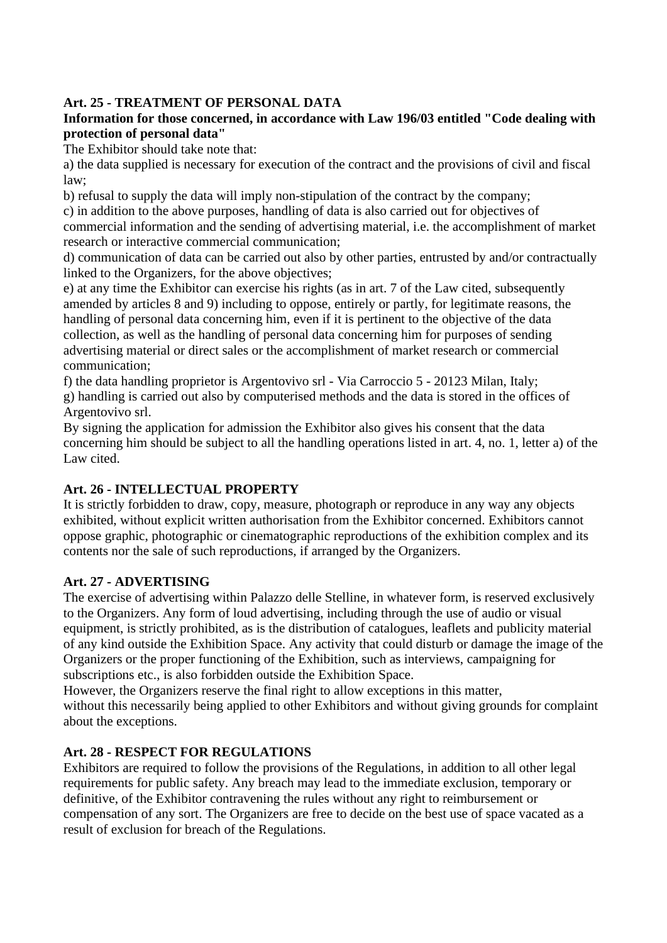### **Art. 25 - TREATMENT OF PERSONAL DATA**

### **Information for those concerned, in accordance with Law 196/03 entitled "Code dealing with protection of personal data"**

The Exhibitor should take note that:

a) the data supplied is necessary for execution of the contract and the provisions of civil and fiscal law;

b) refusal to supply the data will imply non-stipulation of the contract by the company;

c) in addition to the above purposes, handling of data is also carried out for objectives of commercial information and the sending of advertising material, i.e. the accomplishment of market research or interactive commercial communication;

d) communication of data can be carried out also by other parties, entrusted by and/or contractually linked to the Organizers, for the above objectives;

e) at any time the Exhibitor can exercise his rights (as in art. 7 of the Law cited, subsequently amended by articles 8 and 9) including to oppose, entirely or partly, for legitimate reasons, the handling of personal data concerning him, even if it is pertinent to the objective of the data collection, as well as the handling of personal data concerning him for purposes of sending advertising material or direct sales or the accomplishment of market research or commercial communication;

f) the data handling proprietor is Argentovivo srl - Via Carroccio 5 - 20123 Milan, Italy; g) handling is carried out also by computerised methods and the data is stored in the offices of Argentovivo srl.

By signing the application for admission the Exhibitor also gives his consent that the data concerning him should be subject to all the handling operations listed in art. 4, no. 1, letter a) of the Law cited.

# **Art. 26 - INTELLECTUAL PROPERTY**

It is strictly forbidden to draw, copy, measure, photograph or reproduce in any way any objects exhibited, without explicit written authorisation from the Exhibitor concerned. Exhibitors cannot oppose graphic, photographic or cinematographic reproductions of the exhibition complex and its contents nor the sale of such reproductions, if arranged by the Organizers.

#### **Art. 27 - ADVERTISING**

The exercise of advertising within Palazzo delle Stelline, in whatever form, is reserved exclusively to the Organizers. Any form of loud advertising, including through the use of audio or visual equipment, is strictly prohibited, as is the distribution of catalogues, leaflets and publicity material of any kind outside the Exhibition Space. Any activity that could disturb or damage the image of the Organizers or the proper functioning of the Exhibition, such as interviews, campaigning for subscriptions etc., is also forbidden outside the Exhibition Space.

However, the Organizers reserve the final right to allow exceptions in this matter, without this necessarily being applied to other Exhibitors and without giving grounds for complaint about the exceptions.

#### **Art. 28 - RESPECT FOR REGULATIONS**

Exhibitors are required to follow the provisions of the Regulations, in addition to all other legal requirements for public safety. Any breach may lead to the immediate exclusion, temporary or definitive, of the Exhibitor contravening the rules without any right to reimbursement or compensation of any sort. The Organizers are free to decide on the best use of space vacated as a result of exclusion for breach of the Regulations.